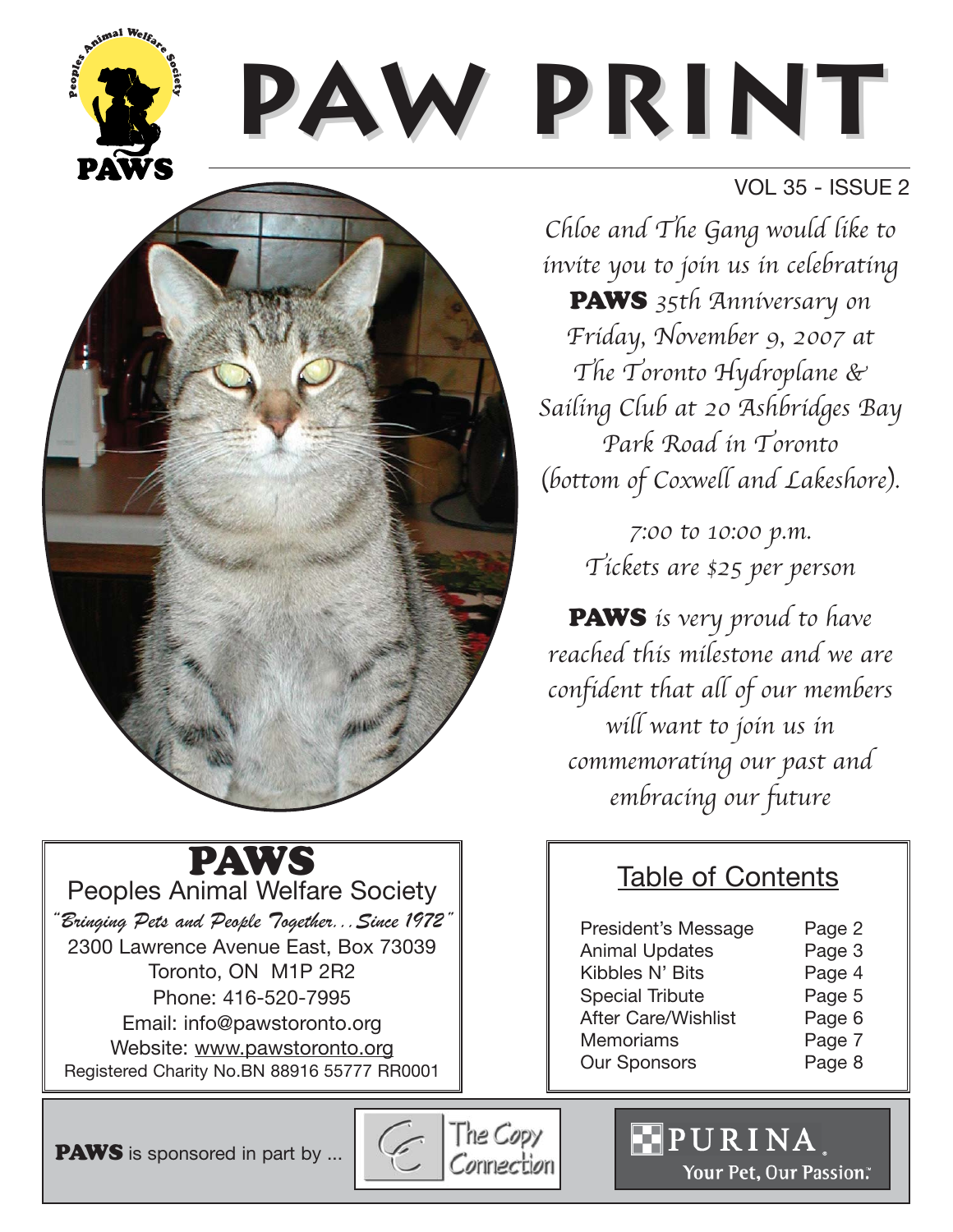

## VOL 35 - ISSUE 2

Chloe and The Gang would like to invite you to join us in celebrating

PAWS 35th Anniversary on Friday, November 9, 2007 at The Toronto Hydroplane & Sailing Club at 20 Ashbridges Bay Park Road in Toronto (bottom of Coxwell and Lakeshore).

> 7:00 to 10:00 p.m. Tickets are \$25 per person

PAWS is very proud to have reached this milestone and we are confident that all of our members will want to join us in commemorating our past and embracing our future

## Table of Contents

| President's Message        | Page 2 |
|----------------------------|--------|
| <b>Animal Updates</b>      | Page 3 |
| Kibbles N' Bits            | Page 4 |
| <b>Special Tribute</b>     | Page 5 |
| <b>After Care/Wishlist</b> | Page 6 |
| <b>Memoriams</b>           | Page 7 |
| <b>Our Sponsors</b>        | Page 8 |
|                            |        |

**PAWS** is sponsored in part by ...

PAWS Peoples Animal Welfare Society "Bringing Pets and People Together...Since 1972" 2300 Lawrence Avenue East, Box 73039 Toronto, ON M1P 2R2 Phone: 416-520-7995 Email: info@pawstoronto.org Website: www.pawstoronto.org Registered Charity No.BN 88916 55777 RR0001

Peoples

The Copy  $\sqrt{2}$ Connection

PURINA Your Pet, Our Passion.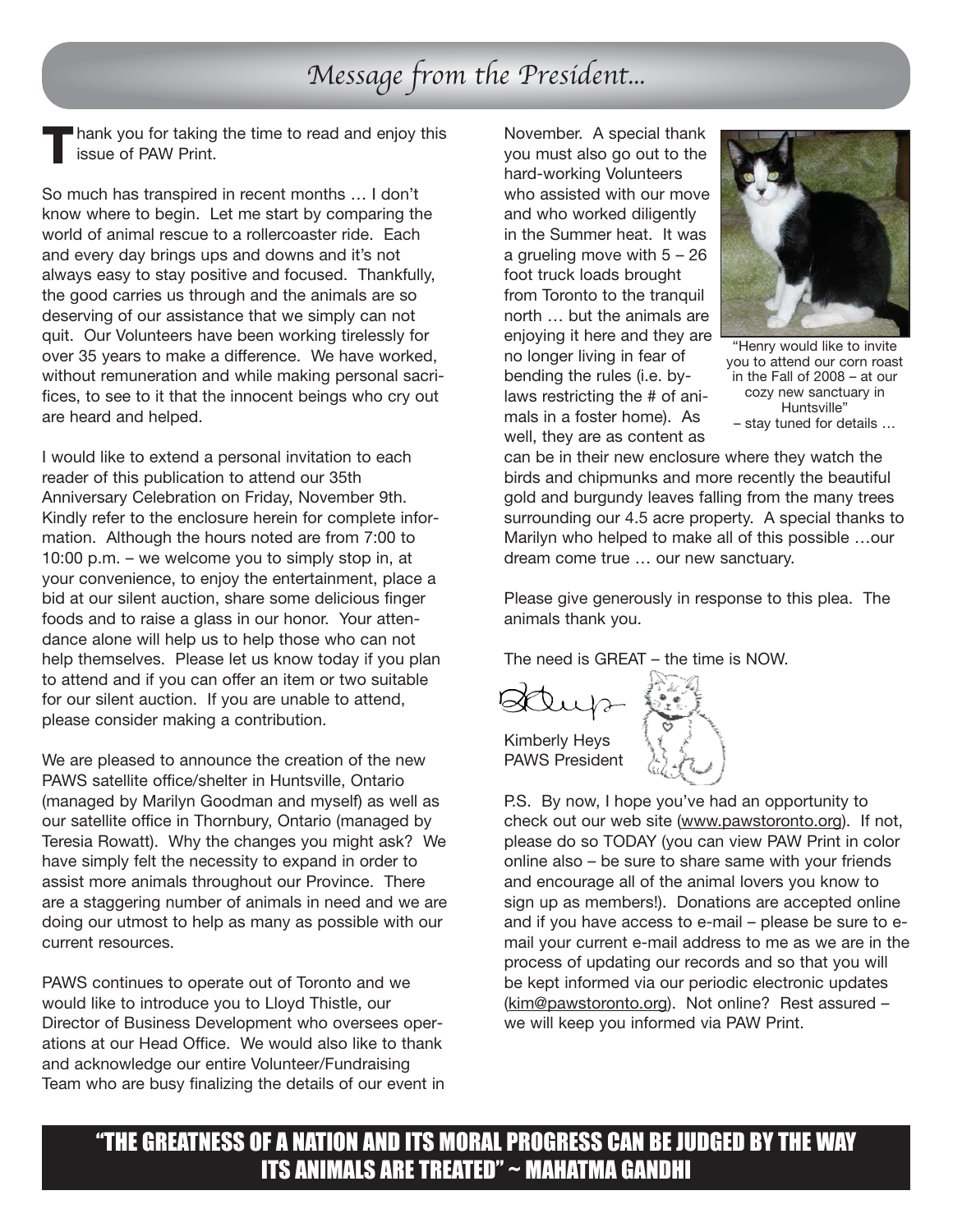## Message from the President...

hank you for taking the time to read and enjoy this issue of PAW Print. **T**

So much has transpired in recent months … I don't know where to begin. Let me start by comparing the world of animal rescue to a rollercoaster ride. Each and every day brings ups and downs and it's not always easy to stay positive and focused. Thankfully, the good carries us through and the animals are so deserving of our assistance that we simply can not quit. Our Volunteers have been working tirelessly for over 35 years to make a difference. We have worked, without remuneration and while making personal sacrifices, to see to it that the innocent beings who cry out are heard and helped.

I would like to extend a personal invitation to each reader of this publication to attend our 35th Anniversary Celebration on Friday, November 9th. Kindly refer to the enclosure herein for complete information. Although the hours noted are from 7:00 to 10:00 p.m. – we welcome you to simply stop in, at your convenience, to enjoy the entertainment, place a bid at our silent auction, share some delicious finger foods and to raise a glass in our honor. Your attendance alone will help us to help those who can not help themselves. Please let us know today if you plan to attend and if you can offer an item or two suitable for our silent auction. If you are unable to attend, please consider making a contribution.

We are pleased to announce the creation of the new PAWS satellite office/shelter in Huntsville, Ontario (managed by Marilyn Goodman and myself) as well as our satellite office in Thornbury, Ontario (managed by Teresia Rowatt). Why the changes you might ask? We have simply felt the necessity to expand in order to assist more animals throughout our Province. There are a staggering number of animals in need and we are doing our utmost to help as many as possible with our current resources.

PAWS continues to operate out of Toronto and we would like to introduce you to Lloyd Thistle, our Director of Business Development who oversees operations at our Head Office. We would also like to thank and acknowledge our entire Volunteer/Fundraising Team who are busy finalizing the details of our event in

November. A special thank you must also go out to the hard-working Volunteers who assisted with our move and who worked diligently in the Summer heat. It was a grueling move with 5 – 26 foot truck loads brought from Toronto to the tranquil north … but the animals are enjoying it here and they are no longer living in fear of bending the rules (i.e. bylaws restricting the # of animals in a foster home). As well, they are as content as



"Henry would like to invite you to attend our corn roast in the Fall of 2008 – at our cozy new sanctuary in Huntsville" – stay tuned for details …

can be in their new enclosure where they watch the birds and chipmunks and more recently the beautiful gold and burgundy leaves falling from the many trees surrounding our 4.5 acre property. A special thanks to Marilyn who helped to make all of this possible …our dream come true … our new sanctuary.

Please give generously in response to this plea. The animals thank you.

The need is GREAT – the time is NOW.

Kimberly Heys PAWS President



P.S. By now, I hope you've had an opportunity to check out our web site (www.pawstoronto.org). If not, please do so TODAY (you can view PAW Print in color online also – be sure to share same with your friends and encourage all of the animal lovers you know to sign up as members!). Donations are accepted online and if you have access to e-mail – please be sure to email your current e-mail address to me as we are in the process of updating our records and so that you will be kept informed via our periodic electronic updates (kim@pawstoronto.org). Not online? Rest assured – we will keep you informed via PAW Print.

"THE GREATNESS OF A NATION AND ITS MORAL PROGRESS CAN BE JUDGED BY THE WAY ITS ANIMALS ARE TREATED" ~ MAHATMA GANDHI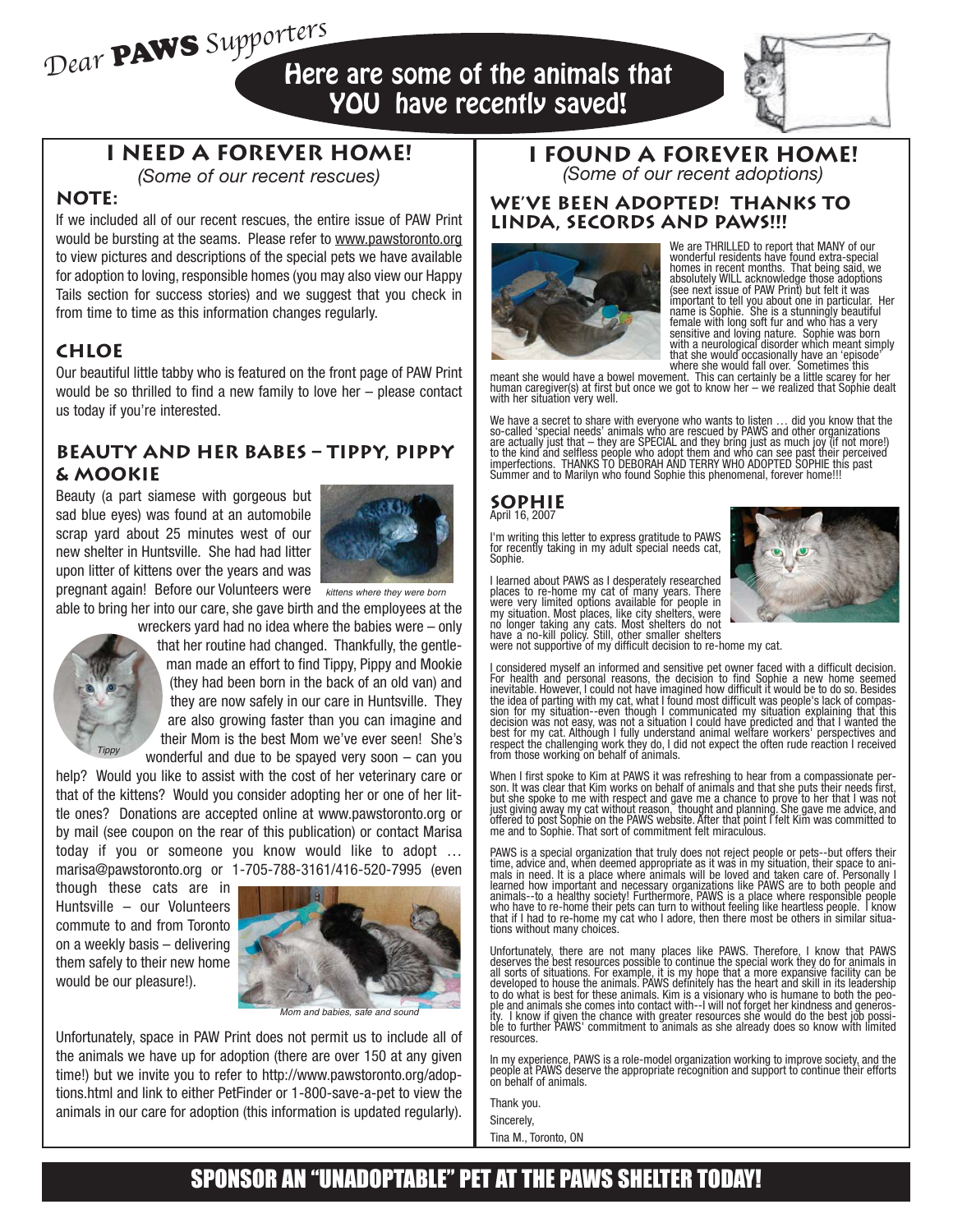Dear PAWS Supporters Here are some of the animals that YOU have recently saved!



## **I NEED A FOREVER HOME!**

*(Some of our recent rescues)*

### **NOTE:**

If we included all of our recent rescues, the entire issue of PAW Print would be bursting at the seams. Please refer to www.pawstoronto.org to view pictures and descriptions of the special pets we have available for adoption to loving, responsible homes (you may also view our Happy Tails section for success stories) and we suggest that you check in from time to time as this information changes regularly.

### **CHLOE**

Our beautiful little tabby who is featured on the front page of PAW Print would be so thrilled to find a new family to love her – please contact us today if you're interested.

#### **BEAUTY AND HER BABES – Tippy, Pippy & Mookie**

Beauty (a part siamese with gorgeous but sad blue eyes) was found at an automobile scrap yard about 25 minutes west of our new shelter in Huntsville. She had had litter upon litter of kittens over the years and was



pregnant again! Before our Volunteers were kittens where they were born

able to bring her into our care, she gave birth and the employees at the



wreckers yard had no idea where the babies were – only that her routine had changed. Thankfully, the gentleman made an effort to find Tippy, Pippy and Mookie (they had been born in the back of an old van) and they are now safely in our care in Huntsville. They are also growing faster than you can imagine and their Mom is the best Mom we've ever seen! She's wonderful and due to be spayed very soon – can you

help? Would you like to assist with the cost of her veterinary care or that of the kittens? Would you consider adopting her or one of her little ones? Donations are accepted online at www.pawstoronto.org or by mail (see coupon on the rear of this publication) or contact Marisa today if you or someone you know would like to adopt … marisa@pawstoronto.org or 1-705-788-3161/416-520-7995 (even

though these cats are in Huntsville – our Volunteers commute to and from Toronto on a weekly basis – delivering them safely to their new home would be our pleasure!).



Mom and babies, safe and sound

Unfortunately, space in PAW Print does not permit us to include all of the animals we have up for adoption (there are over 150 at any given time!) but we invite you to refer to http://www.pawstoronto.org/adoptions.html and link to either PetFinder or 1-800-save-a-pet to view the animals in our care for adoption (this information is updated regularly).

#### **I FOUND A FOREVER HOME!** *(Some of our recent adoptions)*

#### **WE'VE BEEN ADOPTED! THANKS TO LINDA, SECORDS AND PAWS!!!**



We are THRILLED to report that MANY of our wonderful residents have found extra-special homes in recent months. That being said, we absolutely WILL acknowledge those adoptions<br>(see next issue of PAW Print) but felt it was<br>important to tell you about one in particular. Her<br>name is Sophie. She is a stunningly beautiful female with long soft fur and who has a very sensitive and loving nature. Sophie was born with a neurological disorder which meant simply that she would occasionally have an 'episode' where she would fall over. Sometimes this

meant she would have a bowel movement. This can certainly be a little scarey for her human caregiver(s) at first but once we got to know her – we realized that Sophie dealt with her situation very well.

We have a secret to share with everyone who wants to listen … did you know that the so-called 'special needs' animals who are rescued by PAWS and other organizations are actually just that – they are SPECIAL and they bring just as much joy (if not more!)<br>to the kind and selfless people who adopt them and who can see past their perceived<br>imperfections. THANKS TO DEBORAH AND TERRY WHO A Summer and to Marilyn who found Sophie this phenomenal, forever home!!!

#### **SOPHIE** April 16, 2007

I'm writing this letter to express gratitude to PAWS for recently taking in my adult special needs cat, Sophie.

I learned about PAWS as I desperately researched places to re-home my cat of many years. There were very limited options available for people in my situation. Most places, like city shelters, were no longer taking any cats. Most shelters do not have a no-kill policy. Still, other smaller shelters were not supportive of my difficult decision to re-home my cat.



I considered myself an informed and sensitive pet owner faced with a difficult decision. For health and personal reasons, the decision to find Sophie a new home seemed inevitable. However, I could not have imagined how difficult it would be to do so. Besides the idea of parting with my cat, what I found most difficult was people's lack of compas-sion for my situation--even though I communicated my situation explaining that this decision was not easy, was not a situation I could have predicted and that I wanted the<br>best for my cat. Although I fully understand animal welfare workers' perspectives and<br>respect the challenging work they do, I did not from those working on behalf of animals.

When I first spoke to Kim at PAWS it was refreshing to hear from a compassionate per-son. It was clear that Kim works on behalf of animals and that she puts their needs first, but she spoke to me with respect and gave me a chance to prove to her that I was not just giving away my cat without reason, thought and planning. She gave me advice, and offered to post Sophie on the PAWS website. After that point I felt Kim was committed to me and to Sophie. That sort of commitment felt miraculous.

PAWS is a special organization that truly does not reject people or pets--but offers their time, advice and, whĕn deemed appropriate as it waś in my situation, their space to ani-<br>mals in need. It is a place where animals will be loved and taken care of. Personally l learned how important and necessary organizations like PAWS are to both people and<br>animals--to a healthy society! Furthermore, PAWS is a place where responsible people<br>who have to re-home their pets can turn to without fee that if I had to re-home my cat who I adore, then there most be others in similar situations without many choices.

Unfortunately, there are not many places like PAWS. Therefore, I know that PAWS<br>deserves the best resources possible to continue the special work they do for animals in<br>all sorts of situations. For example, it is my hope t developed to house the animals. PAWS definitely has the heart and skill in its leadership<br>to do what is best for these animals. Kim is a visionary who is humane to both the peo-<br>ple and animals she comes into contact withity. I know if given the chance with greater resources she would do the best job possi-ble to further PAWS' commitment to animals as she already does so know with limited resources.

In my experience, PAWS is a role-model organization working to improve society, and the people at PAWS deserve the appropriate recognition and support to continue their efforts on behalf of animals.

Thank you. Sincerely, Tina M., Toronto, ON

SPONSOR AN "UNADOPTABLE" PET AT THE PAWS SHELTER TODAY!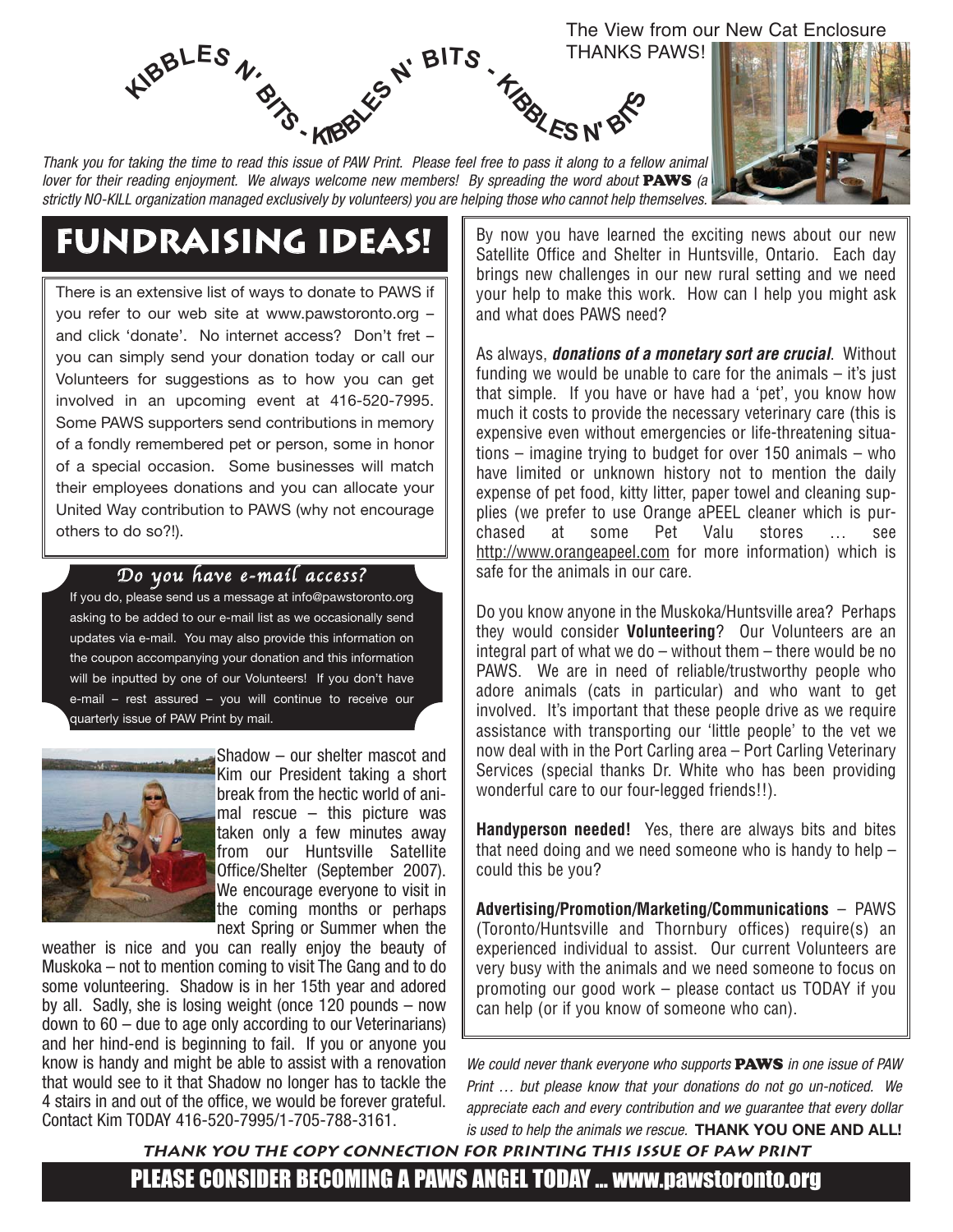

Thank you for taking the time to read this issue of PAW Print. Please feel free to pass it along to a fellow animal lover for their reading enjoyment. We always welcome new members! By spreading the word about **PAWS** (a strictly NO-KILL organization managed exclusively by volunteers) you are helping those who cannot help themselves.

# **Fundraising Ideas!**

There is an extensive list of ways to donate to PAWS if you refer to our web site at www.pawstoronto.org – and click 'donate'. No internet access? Don't fret – you can simply send your donation today or call our Volunteers for suggestions as to how you can get involved in an upcoming event at 416-520-7995. Some PAWS supporters send contributions in memory of a fondly remembered pet or person, some in honor of a special occasion. Some businesses will match their employees donations and you can allocate your United Way contribution to PAWS (why not encourage others to do so?!).

#### Do you have e-mail access?

If you do, please send us a message at info@pawstoronto.org asking to be added to our e-mail list as we occasionally send updates via e-mail. You may also provide this information on the coupon accompanying your donation and this information will be inputted by one of our Volunteers! If you don't have e-mail – rest assured – you will continue to receive our quarterly issue of PAW Print by mail.



Shadow – our shelter mascot and Kim our President taking a short break from the hectic world of animal rescue – this picture was taken only a few minutes away from our Huntsville Satellite Office/Shelter (September 2007). We encourage everyone to visit in the coming months or perhaps next Spring or Summer when the

weather is nice and you can really enjoy the beauty of Muskoka – not to mention coming to visit The Gang and to do some volunteering. Shadow is in her 15th year and adored by all. Sadly, she is losing weight (once 120 pounds – now down to 60 – due to age only according to our Veterinarians) and her hind-end is beginning to fail. If you or anyone you know is handy and might be able to assist with a renovation that would see to it that Shadow no longer has to tackle the 4 stairs in and out of the office, we would be forever grateful. Contact Kim TODAY 416-520-7995/1-705-788-3161.

By now you have learned the exciting news about our new Satellite Office and Shelter in Huntsville, Ontario. Each day brings new challenges in our new rural setting and we need your help to make this work. How can I help you might ask and what does PAWS need?

As always, **donations of a monetary sort are crucial**. Without funding we would be unable to care for the animals – it's just that simple. If you have or have had a 'pet', you know how much it costs to provide the necessary veterinary care (this is expensive even without emergencies or life-threatening situations – imagine trying to budget for over 150 animals – who have limited or unknown history not to mention the daily expense of pet food, kitty litter, paper towel and cleaning supplies (we prefer to use Orange aPEEL cleaner which is purchased at some Pet Valu stores … see http://www.orangeapeel.com for more information) which is safe for the animals in our care.

Do you know anyone in the Muskoka/Huntsville area? Perhaps they would consider **Volunteering**? Our Volunteers are an integral part of what we do – without them – there would be no PAWS. We are in need of reliable/trustworthy people who adore animals (cats in particular) and who want to get involved. It's important that these people drive as we require assistance with transporting our 'little people' to the vet we now deal with in the Port Carling area – Port Carling Veterinary Services (special thanks Dr. White who has been providing wonderful care to our four-legged friends!!).

**Handyperson needed!** Yes, there are always bits and bites that need doing and we need someone who is handy to help – could this be you?

**Advertising/Promotion/Marketing/Communications** – PAWS (Toronto/Huntsville and Thornbury offices) require(s) an experienced individual to assist. Our current Volunteers are very busy with the animals and we need someone to focus on promoting our good work – please contact us TODAY if you can help (or if you know of someone who can).

We could never thank everyone who supports **PAWS** in one issue of PAW Print … but please know that your donations do not go un-noticed. We appreciate each and every contribution and we guarantee that every dollar is used to help the animals we rescue. **THANK YOU ONE AND ALL!**

PLEASE CONSIDER BECOMING A PAWS ANGEL TODAY … www.pawstoronto.org **Thank you The Copy Connection for printing this issue of PAW Print**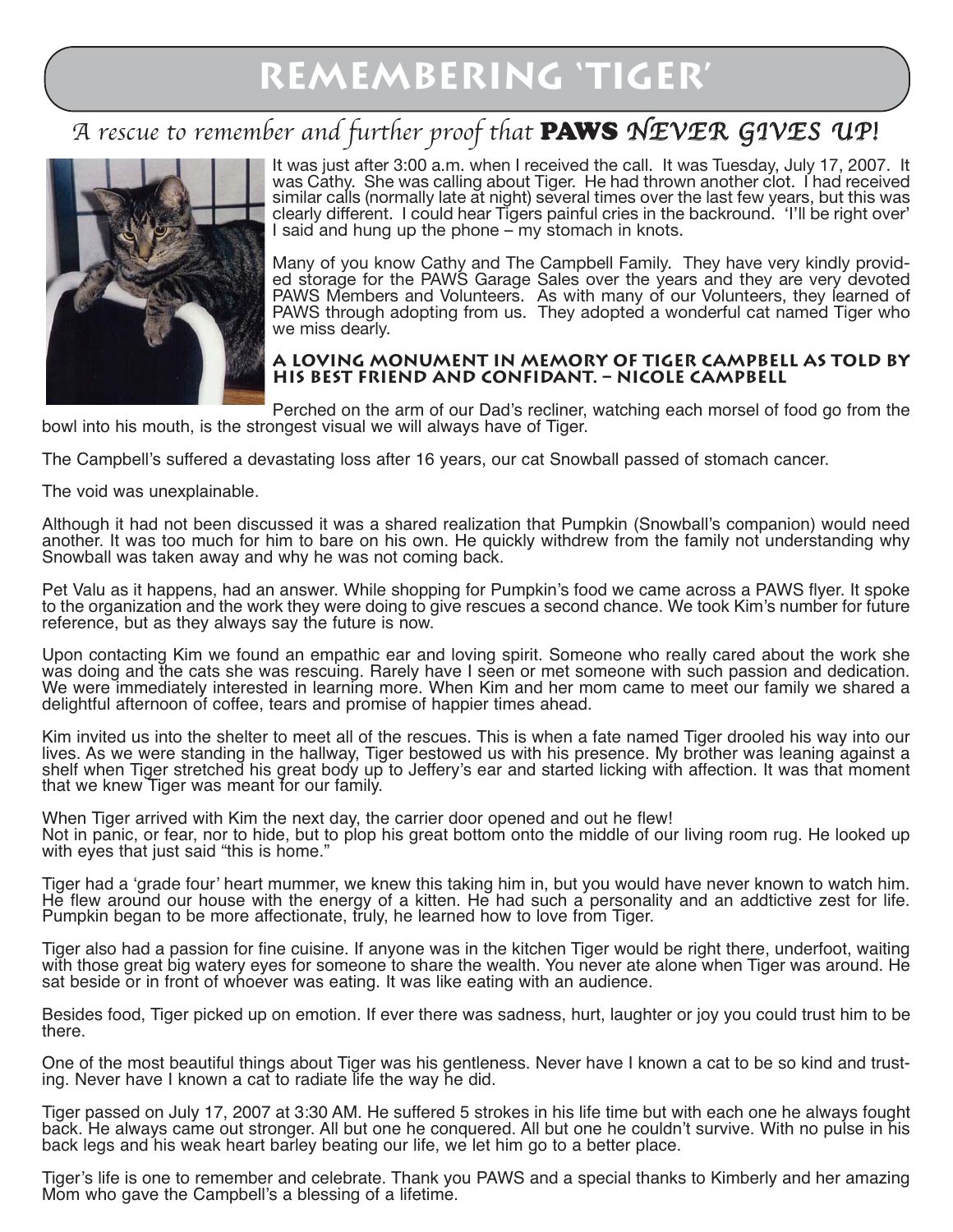## A rescue to remember and further proof that PAWS NEVER GIVES UP!



It was just after 3:00 a.m. when I received the call. It was Tuesday, July 17, 2007. It was Cathy. She was calling about Tiger. He had thrown another clot. I had received similar calls (normally late at night) several times over the last few years, but this was clearly different. I could hear Tigers painful cries in the backround. 'I'll be right over' I said and hung up the phone – my stomach in knots.

Many of you know Cathy and The Campbell Family. They have very kindly provided storage for the PAWS Garage Sales over the years and they are very devoted PAWS Members and Volunteers. As with many of our Volunteers, they learned of PAWS through adopting from us. They adopted a wonderful cat named Tiger who we miss dearly.

#### **A loving monument in memory of Tiger Campbell as told by his best friend and confidant. – Nicole Campbell**

Perched on the arm of our Dad's recliner, watching each morsel of food go from the bowl into his mouth, is the strongest visual we will always have of Tiger.

The Campbell's suffered a devastating loss after 16 years, our cat Snowball passed of stomach cancer.

The void was unexplainable.

Although it had not been discussed it was a shared realization that Pumpkin (Snowball's companion) would need another. It was too much for him to bare on his own. He quickly withdrew from the family not understanding why Snowball was taken away and why he was not coming back.

Pet Valu as it happens, had an answer. While shopping for Pumpkin's food we came across a PAWS flyer. It spoke to the organization and the work they were doing to give rescues a second chance. We took Kim's number for future reference, but as they always say the future is now.

Upon contacting Kim we found an empathic ear and loving spirit. Someone who really cared about the work she was doing and the cats she was rescuing. Rarely have I seen or met someone with such passion and dedication. We were immediately interested in learning more. When Kim and her mom came to meet our family we shared a delightful afternoon of coffee, tears and promise of happier times ahead.

Kim invited us into the shelter to meet all of the rescues. This is when a fate named Tiger drooled his way into our lives. As we were standing in the hallway, Tiger bestowed us with his presence. My brother was leaning against a shelf when Tiger stretched his great body up to Jeffery's ear and started licking with affection. It was that moment that we knew Tiger was meant for our family.

When Tiger arrived with Kim the next day, the carrier door opened and out he flew! Not in panic, or fear, nor to hide, but to plop his great bottom onto the middle of our living room rug. He looked up with eyes that just said "this is home."

Tiger had a 'grade four' heart mummer, we knew this taking him in, but you would have never known to watch him. He flew around our house with the energy of a kitten. He had such a personality and an addtictive zest for life. Pumpkin began to be more affectionate, truly, he learned how to love from Tiger.

Tiger also had a passion for fine cuisine. If anyone was in the kitchen Tiger would be right there, underfoot, waiting with those great big watery eyes for someone to share the wealth. You never ate alone when Tiger was around. He sat beside or in front of whoever was eating. It was like eating with an audience.

Besides food, Tiger picked up on emotion. If ever there was sadness, hurt, laughter or joy you could trust him to be there.

One of the most beautiful things about Tiger was his gentleness. Never have I known a cat to be so kind and trusting. Never have I known a cat to radiate life the way he did.

Tiger passed on July 17, 2007 at 3:30 AM. He suffered 5 strokes in his life time but with each one he always fought back. He always came out stronger. All but one he conquered. All but one he couldn't survive. With no pulse in his back legs and his weak heart barley beating our life, we let him go to a better place.

Tiger's life is one to remember and celebrate. Thank you PAWS and a special thanks to Kimberly and her amazing Mom who gave the Campbell's a blessing of a lifetime.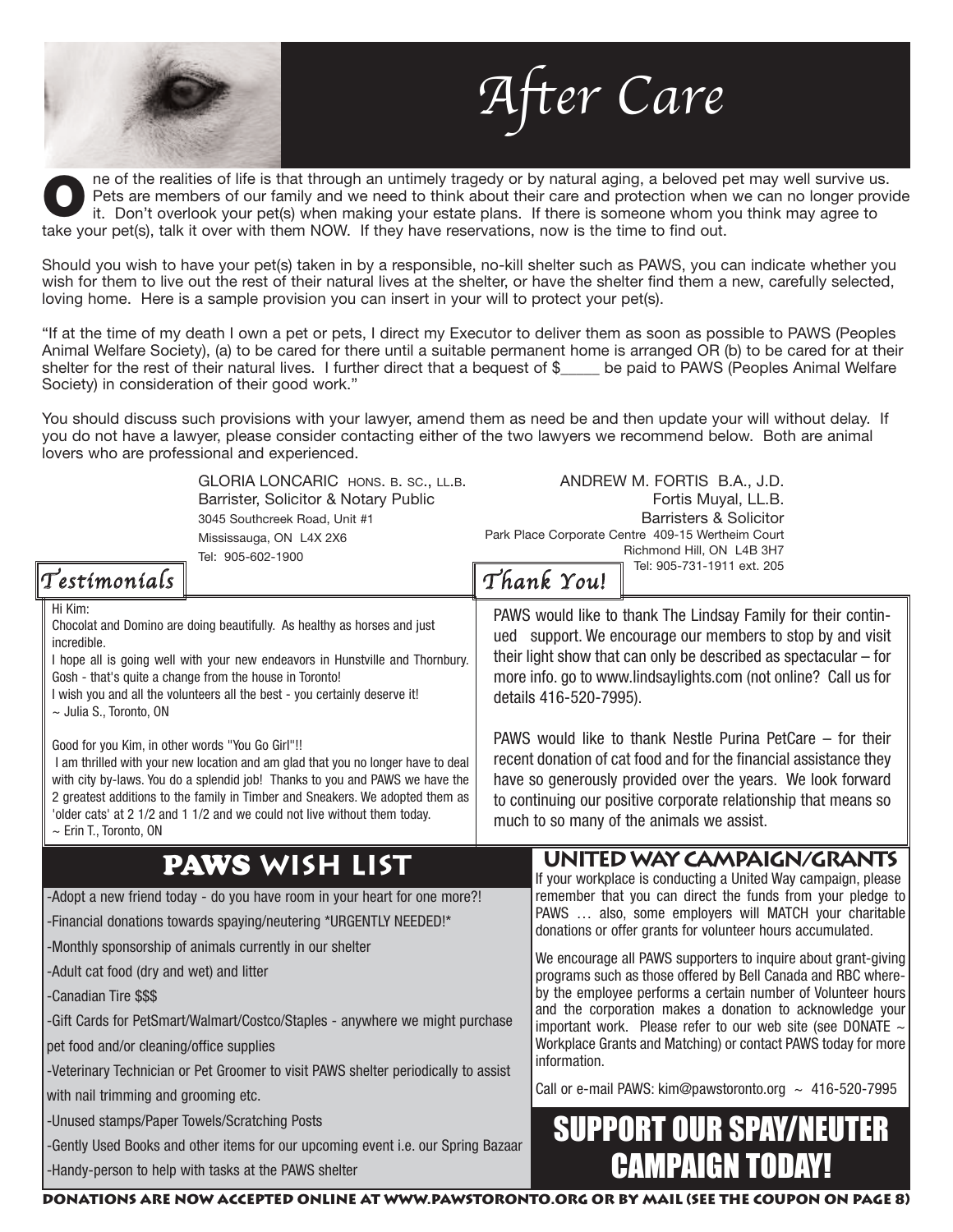ne of the realities of life is that through an untimely tragedy or by natural aging, a beloved pet may well survive us. Pets are members of our family and we need to think about their care and protection when we can no longer provide it. Don't overlook your pet(s) when making your estate plans. If there is someone whom you think may agree to The of the realities of life is that through an untimely tragedy or by natural aging, a beloved prets are members of our family and we need to think about their care and protection when it. Don't overlook your pet(s) when

fter Care

Should you wish to have your pet(s) taken in by a responsible, no-kill shelter such as PAWS, you can indicate whether you wish for them to live out the rest of their natural lives at the shelter, or have the shelter find them a new, carefully selected, loving home. Here is a sample provision you can insert in your will to protect your pet(s).

"If at the time of my death I own a pet or pets, I direct my Executor to deliver them as soon as possible to PAWS (Peoples Animal Welfare Society), (a) to be cared for there until a suitable permanent home is arranged OR (b) to be cared for at their shelter for the rest of their natural lives. I further direct that a bequest of \$\_\_\_\_\_ be paid to PAWS (Peoples Animal Welfare Society) in consideration of their good work."

You should discuss such provisions with your lawyer, amend them as need be and then update your will without delay. If you do not have a lawyer, please consider contacting either of the two lawyers we recommend below. Both are animal lovers who are professional and experienced.

| Testimonials                                                                                                                                                                                                                                                                                                                                                                                                                                       | GLORIA LONCARIC HONS. B. SC., LL.B.<br>Barrister, Solicitor & Notary Public<br>3045 Southcreek Road, Unit #1<br>Mississauga, ON L4X 2X6<br>Tel: 905-602-1900                                                                                                                                                                                                                                                                                                                                                                                                                                                                         |                                                                                                                                                                                                                                                                                                                                                                                                                                                                                                                                                                                                                  | Thank You!                                                                                                                                                                                                                                                                                                                          | ANDREW M. FORTIS B.A., J.D.<br>Fortis Muyal, LL.B.<br><b>Barristers &amp; Solicitor</b><br>Park Place Corporate Centre 409-15 Wertheim Court<br>Richmond Hill, ON L4B 3H7<br>Tel: 905-731-1911 ext. 205                                                                                                                                                                                                                                                                            |  |
|----------------------------------------------------------------------------------------------------------------------------------------------------------------------------------------------------------------------------------------------------------------------------------------------------------------------------------------------------------------------------------------------------------------------------------------------------|--------------------------------------------------------------------------------------------------------------------------------------------------------------------------------------------------------------------------------------------------------------------------------------------------------------------------------------------------------------------------------------------------------------------------------------------------------------------------------------------------------------------------------------------------------------------------------------------------------------------------------------|------------------------------------------------------------------------------------------------------------------------------------------------------------------------------------------------------------------------------------------------------------------------------------------------------------------------------------------------------------------------------------------------------------------------------------------------------------------------------------------------------------------------------------------------------------------------------------------------------------------|-------------------------------------------------------------------------------------------------------------------------------------------------------------------------------------------------------------------------------------------------------------------------------------------------------------------------------------|------------------------------------------------------------------------------------------------------------------------------------------------------------------------------------------------------------------------------------------------------------------------------------------------------------------------------------------------------------------------------------------------------------------------------------------------------------------------------------|--|
| Hi Kim:<br>incredible.<br>~ Julia S., Toronto, ON<br>Good for you Kim, in other words "You Go Girl"!!                                                                                                                                                                                                                                                                                                                                              | Chocolat and Domino are doing beautifully. As healthy as horses and just<br>I hope all is going well with your new endeavors in Hunstville and Thornbury.<br>Gosh - that's quite a change from the house in Toronto!<br>I wish you and all the volunteers all the best - you certainly deserve it!<br>I am thrilled with your new location and am glad that you no longer have to deal<br>with city by-laws. You do a splendid job! Thanks to you and PAWS we have the<br>2 greatest additions to the family in Timber and Sneakers. We adopted them as<br>'older cats' at 2 1/2 and 1 1/2 and we could not live without them today. | PAWS would like to thank The Lindsay Family for their contin-<br>ued support. We encourage our members to stop by and visit<br>their light show that can only be described as spectacular $-$ for<br>more info. go to www.lindsaylights.com (not online? Call us for<br>details 416-520-7995).<br>PAWS would like to thank Nestle Purina PetCare – for their<br>recent donation of cat food and for the financial assistance they<br>have so generously provided over the years. We look forward<br>to continuing our positive corporate relationship that means so<br>much to so many of the animals we assist. |                                                                                                                                                                                                                                                                                                                                     |                                                                                                                                                                                                                                                                                                                                                                                                                                                                                    |  |
| $\sim$ Erin T., Toronto, ON<br>-Adult cat food (dry and wet) and litter<br>-Canadian Tire \$\$\$                                                                                                                                                                                                                                                                                                                                                   | PAWS WISH LIST<br>-Adopt a new friend today - do you have room in your heart for one more?!<br>-Financial donations towards spaying/neutering *URGENTLY NEEDED!*<br>-Monthly sponsorship of animals currently in our shelter                                                                                                                                                                                                                                                                                                                                                                                                         |                                                                                                                                                                                                                                                                                                                                                                                                                                                                                                                                                                                                                  |                                                                                                                                                                                                                                                                                                                                     | UNITED WAY CAMPAIGN/GRANTS<br>If your workplace is conducting a United Way campaign, please<br>remember that you can direct the funds from your pledge to<br>PAWS  also, some employers will MATCH your charitable<br>donations or offer grants for volunteer hours accumulated.<br>We encourage all PAWS supporters to inquire about grant-giving<br>programs such as those offered by Bell Canada and RBC where-<br>by the employee performs a certain number of Volunteer hours |  |
| -Gift Cards for PetSmart/Walmart/Costco/Staples - anywhere we might purchase<br>pet food and/or cleaning/office supplies<br>-Veterinary Technician or Pet Groomer to visit PAWS shelter periodically to assist<br>with nail trimming and grooming etc.<br>-Unused stamps/Paper Towels/Scratching Posts<br>-Gently Used Books and other items for our upcoming event i.e. our Spring Bazaar<br>-Handy-person to help with tasks at the PAWS shelter |                                                                                                                                                                                                                                                                                                                                                                                                                                                                                                                                                                                                                                      |                                                                                                                                                                                                                                                                                                                                                                                                                                                                                                                                                                                                                  | and the corporation makes a donation to acknowledge your<br>important work. Please refer to our web site (see DONATE $\sim$<br>Workplace Grants and Matching) or contact PAWS today for more<br>information.<br>Call or e-mail PAWS: kim@pawstoronto.org ~ 416-520-7995<br><b>SUPPORT OUR SPAY/NEUTER</b><br><b>CAMPAIGN TODAY!</b> |                                                                                                                                                                                                                                                                                                                                                                                                                                                                                    |  |
|                                                                                                                                                                                                                                                                                                                                                                                                                                                    |                                                                                                                                                                                                                                                                                                                                                                                                                                                                                                                                                                                                                                      |                                                                                                                                                                                                                                                                                                                                                                                                                                                                                                                                                                                                                  |                                                                                                                                                                                                                                                                                                                                     | DONATIONS ARE NOW ACCEPTED ONLINE AT WWW.PAWSTORONTO.ORG OR BY MAIL (SEE THE COUPON ON PAGE 8)                                                                                                                                                                                                                                                                                                                                                                                     |  |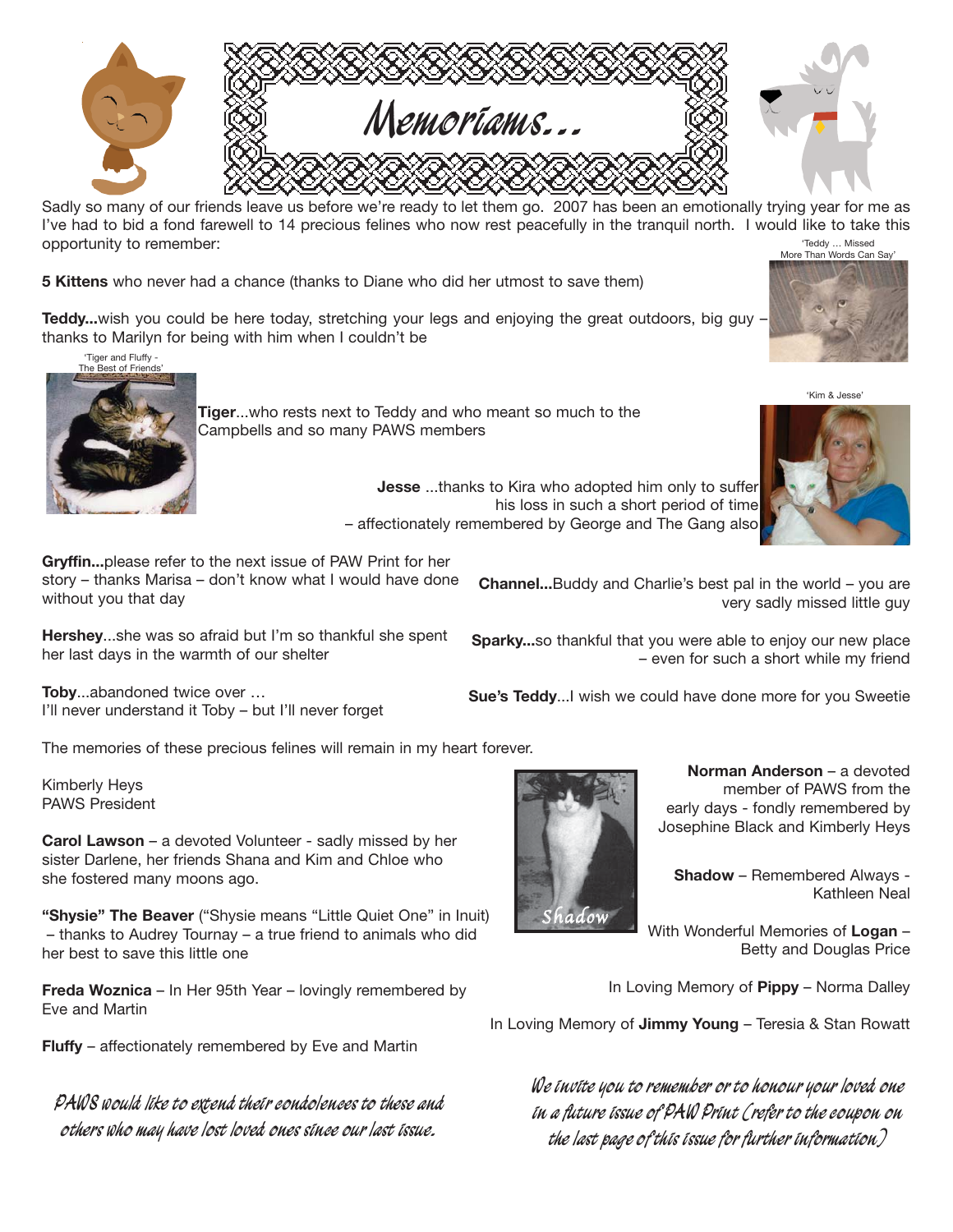

Sadly so many of our friends leave us before we're ready to let them go. 2007 has been an emotionally trying year for me as I've had to bid a fond farewell to 14 precious felines who now rest peacefully in the tranquil north. I would like to take this opportunity to remember: 'Teddy … Missed More Than Words Can Say'

**5 Kittens** who never had a chance (thanks to Diane who did her utmost to save them)

**Teddy...**wish you could be here today, stretching your legs and enjoying the great outdoors, big guy – thanks to Marilyn for being with him when I couldn't be



**Tiger**...who rests next to Teddy and who meant so much to the Campbells and so many PAWS members

> **Jesse** ...thanks to Kira who adopted him only to suffer his loss in such a short period of time – affectionately remembered by George and The Gang also

> > hadow

**Gryffin...**please refer to the next issue of PAW Print for her story – thanks Marisa – don't know what I would have done without you that day

**Hershey**...she was so afraid but I'm so thankful she spent her last days in the warmth of our shelter

**Toby**...abandoned twice over … I'll never understand it Toby – but I'll never forget

The memories of these precious felines will remain in my heart forever.

Kimberly Heys PAWS President

**Carol Lawson** – a devoted Volunteer - sadly missed by her sister Darlene, her friends Shana and Kim and Chloe who she fostered many moons ago.

**"Shysie" The Beaver** ("Shysie means "Little Quiet One" in Inuit) – thanks to Audrey Tournay – a true friend to animals who did her best to save this little one

**Freda Woznica** – In Her 95th Year – lovingly remembered by Eve and Martin

**Fluffy** – affectionately remembered by Eve and Martin

**PAWS would like to extend their condolences to these and others who may have lost loved ones since our last issue.**

**Channel...**Buddy and Charlie's best pal in the world – you are very sadly missed little guy

**Sparky...**so thankful that you were able to enjoy our new place – even for such a short while my friend

**Sue's Teddy**...I wish we could have done more for you Sweetie



**Shadow** – Remembered Always - Kathleen Neal

With Wonderful Memories of **Logan** – Betty and Douglas Price

In Loving Memory of **Pippy** – Norma Dalley

In Loving Memory of **Jimmy Young** – Teresia & Stan Rowatt

**We invite you to remember or to honour your loved one in a future issue of PAW Print (refer to the coupon on the last page of this issue for further information)**